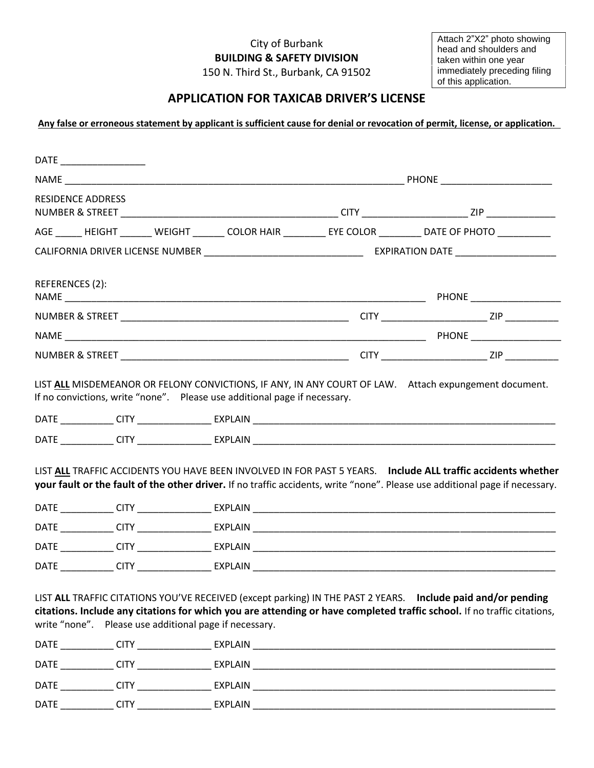## City of Burbank **BUILDING & SAFETY DIVISION**

150 N. Third St., Burbank, CA 91502

Attach 2"X2" photo showing head and shoulders and taken within one year immediately preceding filing of this application.

## **APPLICATION FOR TAXICAB DRIVER'S LICENSE**

**Any false or erroneous statement by applicant is sufficient cause for denial or revocation of permit, license, or application.** 

| <b>RESIDENCE ADDRESS</b> |  |                                                        |  |                                                                                                                                                                                                                                              |  |
|--------------------------|--|--------------------------------------------------------|--|----------------------------------------------------------------------------------------------------------------------------------------------------------------------------------------------------------------------------------------------|--|
|                          |  |                                                        |  | AGE ______ HEIGHT _______ WEIGHT _______ COLOR HAIR _________ EYE COLOR ________ DATE OF PHOTO ___________                                                                                                                                   |  |
|                          |  |                                                        |  |                                                                                                                                                                                                                                              |  |
| REFERENCES (2):          |  |                                                        |  |                                                                                                                                                                                                                                              |  |
|                          |  |                                                        |  |                                                                                                                                                                                                                                              |  |
|                          |  |                                                        |  |                                                                                                                                                                                                                                              |  |
|                          |  |                                                        |  |                                                                                                                                                                                                                                              |  |
|                          |  |                                                        |  | LIST ALL TRAFFIC ACCIDENTS YOU HAVE BEEN INVOLVED IN FOR PAST 5 YEARS. Include ALL traffic accidents whether<br>your fault or the fault of the other driver. If no traffic accidents, write "none". Please use additional page if necessary. |  |
|                          |  |                                                        |  |                                                                                                                                                                                                                                              |  |
|                          |  |                                                        |  |                                                                                                                                                                                                                                              |  |
|                          |  |                                                        |  |                                                                                                                                                                                                                                              |  |
|                          |  | write "none". Please use additional page if necessary. |  | LIST ALL TRAFFIC CITATIONS YOU'VE RECEIVED (except parking) IN THE PAST 2 YEARS. Include paid and/or pending<br>citations. Include any citations for which you are attending or have completed traffic school. If no traffic citations,      |  |
|                          |  |                                                        |  |                                                                                                                                                                                                                                              |  |
|                          |  |                                                        |  |                                                                                                                                                                                                                                              |  |